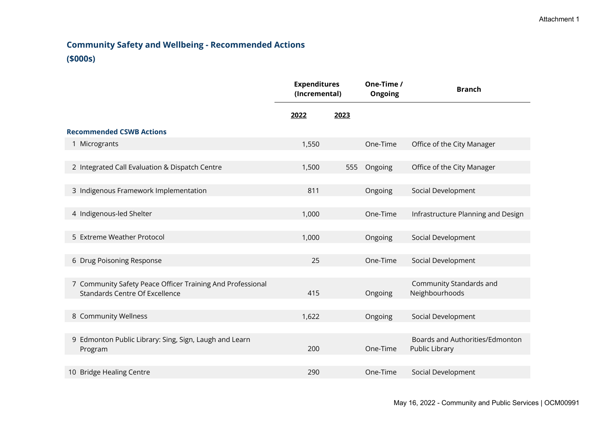## **Community Safety and Wellbeing - Recommended Actions (\$000s)**

|                                                                                                     | <b>Expenditures</b><br>(Incremental) |      | One-Time /<br><b>Ongoing</b> | <b>Branch</b>                                     |
|-----------------------------------------------------------------------------------------------------|--------------------------------------|------|------------------------------|---------------------------------------------------|
|                                                                                                     | 2022                                 | 2023 |                              |                                                   |
| <b>Recommended CSWB Actions</b>                                                                     |                                      |      |                              |                                                   |
| 1 Microgrants                                                                                       | 1,550                                |      | One-Time                     | Office of the City Manager                        |
|                                                                                                     |                                      |      |                              |                                                   |
| 2 Integrated Call Evaluation & Dispatch Centre                                                      | 1,500                                | 555  | Ongoing                      | Office of the City Manager                        |
|                                                                                                     |                                      |      |                              |                                                   |
| 3 Indigenous Framework Implementation                                                               | 811                                  |      | Ongoing                      | Social Development                                |
|                                                                                                     |                                      |      |                              |                                                   |
| 4 Indigenous-led Shelter                                                                            | 1,000                                |      | One-Time                     | Infrastructure Planning and Design                |
| 5 Extreme Weather Protocol                                                                          | 1,000                                |      | Ongoing                      | Social Development                                |
|                                                                                                     |                                      |      |                              |                                                   |
| 6 Drug Poisoning Response                                                                           | 25                                   |      | One-Time                     | Social Development                                |
|                                                                                                     |                                      |      |                              |                                                   |
| 7 Community Safety Peace Officer Training And Professional<br><b>Standards Centre Of Excellence</b> | 415                                  |      | Ongoing                      | Community Standards and<br>Neighbourhoods         |
|                                                                                                     |                                      |      |                              |                                                   |
| 8 Community Wellness                                                                                | 1,622                                |      | Ongoing                      | Social Development                                |
|                                                                                                     |                                      |      |                              |                                                   |
| 9 Edmonton Public Library: Sing, Sign, Laugh and Learn<br>Program                                   | 200                                  |      | One-Time                     | Boards and Authorities/Edmonton<br>Public Library |
|                                                                                                     |                                      |      |                              |                                                   |
| 10 Bridge Healing Centre                                                                            | 290                                  |      | One-Time                     | Social Development                                |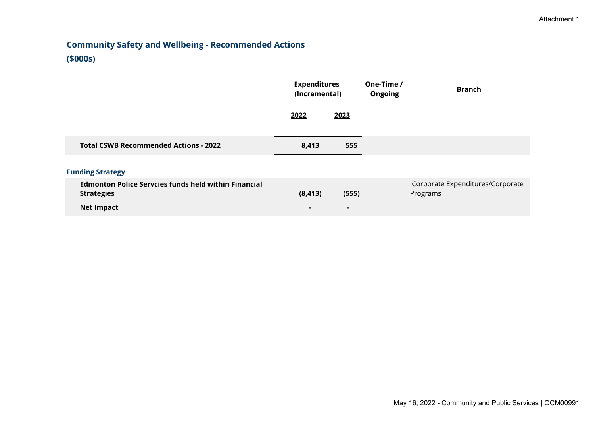## **Community Safety and Wellbeing - Recommended Actions (\$000s)**

| <b>Expenditures</b><br>(Incremental) |                         | One-Time /<br><b>Ongoing</b> | <b>Branch</b>                                |  |
|--------------------------------------|-------------------------|------------------------------|----------------------------------------------|--|
| 2022                                 | 2023                    |                              |                                              |  |
| 8,413                                | 555                     |                              |                                              |  |
|                                      |                         |                              |                                              |  |
| (8, 413)<br>$\blacksquare$           | (555)<br>$\blacksquare$ |                              | Corporate Expenditures/Corporate<br>Programs |  |
|                                      |                         |                              |                                              |  |